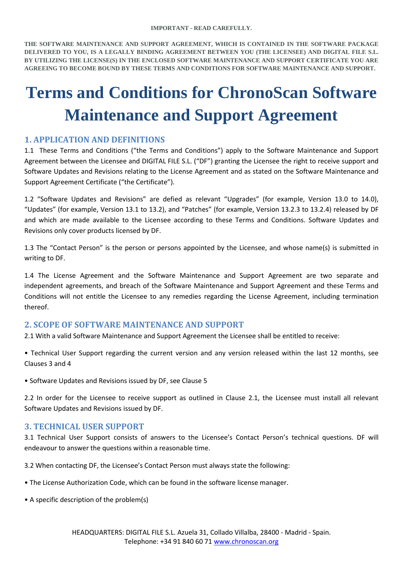**THE SOFTWARE MAINTENANCE AND SUPPORT AGREEMENT, WHICH IS CONTAINED IN THE SOFTWARE PACKAGE DELIVERED TO YOU, IS A LEGALLY BINDING AGREEMENT BETWEEN YOU (THE LICENSEE) AND DIGITAL FILE S.L. BY UTILIZING THE LICENSE(S) IN THE ENCLOSED SOFTWARE MAINTENANCE AND SUPPORT CERTIFICATE YOU ARE AGREEING TO BECOME BOUND BY THESE TERMS AND CONDITIONS FOR SOFTWARE MAINTENANCE AND SUPPORT.**

# **Terms and Conditions for ChronoScan Software Maintenance and Support Agreement**

# **1. APPLICATION AND DEFINITIONS**

1.1 These Terms and Conditions ("the Terms and Conditions") apply to the Software Maintenance and Support Agreement between the Licensee and DIGITAL FILE S.L. ("DF") granting the Licensee the right to receive support and Software Updates and Revisions relating to the License Agreement and as stated on the Software Maintenance and Support Agreement Certificate ("the Certificate").

1.2 "Software Updates and Revisions" are defied as relevant "Upgrades" (for example, Version 13.0 to 14.0), "Updates" (for example, Version 13.1 to 13.2), and "Patches" (for example, Version 13.2.3 to 13.2.4) released by DF and which are made available to the Licensee according to these Terms and Conditions. Software Updates and Revisions only cover products licensed by DF.

1.3 The "Contact Person" is the person or persons appointed by the Licensee, and whose name(s) is submitted in writing to DF.

1.4 The License Agreement and the Software Maintenance and Support Agreement are two separate and independent agreements, and breach of the Software Maintenance and Support Agreement and these Terms and Conditions will not entitle the Licensee to any remedies regarding the License Agreement, including termination thereof.

### **2. SCOPE OF SOFTWARE MAINTENANCE AND SUPPORT**

2.1 With a valid Software Maintenance and Support Agreement the Licensee shall be entitled to receive:

• Technical User Support regarding the current version and any version released within the last 12 months, see Clauses 3 and 4

• Software Updates and Revisions issued by DF, see Clause 5

2.2 In order for the Licensee to receive support as outlined in Clause 2.1, the Licensee must install all relevant Software Updates and Revisions issued by DF.

### **3. TECHNICAL USER SUPPORT**

3.1 Technical User Support consists of answers to the Licensee's Contact Person's technical questions. DF will endeavour to answer the questions within a reasonable time.

3.2 When contacting DF, the Licensee's Contact Person must always state the following:

- The License Authorization Code, which can be found in the software license manager.
- A specific description of the problem(s)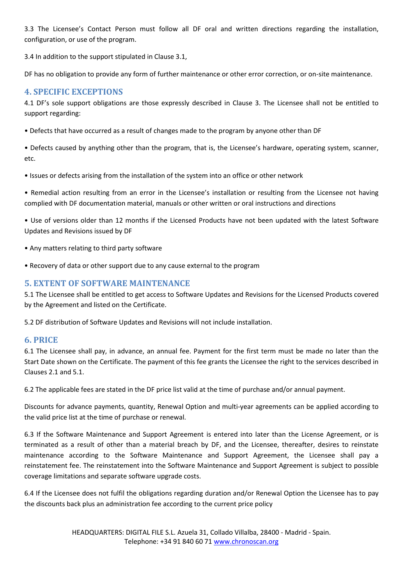3.3 The Licensee's Contact Person must follow all DF oral and written directions regarding the installation, configuration, or use of the program.

3.4 In addition to the support stipulated in Clause 3.1,

DF has no obligation to provide any form of further maintenance or other error correction, or on-site maintenance.

# **4. SPECIFIC EXCEPTIONS**

4.1 DF's sole support obligations are those expressly described in Clause 3. The Licensee shall not be entitled to support regarding:

• Defects that have occurred as a result of changes made to the program by anyone other than DF

• Defects caused by anything other than the program, that is, the Licensee's hardware, operating system, scanner, etc.

• Issues or defects arising from the installation of the system into an office or other network

• Remedial action resulting from an error in the Licensee's installation or resulting from the Licensee not having complied with DF documentation material, manuals or other written or oral instructions and directions

• Use of versions older than 12 months if the Licensed Products have not been updated with the latest Software Updates and Revisions issued by DF

- Any matters relating to third party software
- Recovery of data or other support due to any cause external to the program

## **5. EXTENT OF SOFTWARE MAINTENANCE**

5.1 The Licensee shall be entitled to get access to Software Updates and Revisions for the Licensed Products covered by the Agreement and listed on the Certificate.

5.2 DF distribution of Software Updates and Revisions will not include installation.

### **6. PRICE**

6.1 The Licensee shall pay, in advance, an annual fee. Payment for the first term must be made no later than the Start Date shown on the Certificate. The payment of this fee grants the Licensee the right to the services described in Clauses 2.1 and 5.1.

6.2 The applicable fees are stated in the DF price list valid at the time of purchase and/or annual payment.

Discounts for advance payments, quantity, Renewal Option and multi-year agreements can be applied according to the valid price list at the time of purchase or renewal.

6.3 If the Software Maintenance and Support Agreement is entered into later than the License Agreement, or is terminated as a result of other than a material breach by DF, and the Licensee, thereafter, desires to reinstate maintenance according to the Software Maintenance and Support Agreement, the Licensee shall pay a reinstatement fee. The reinstatement into the Software Maintenance and Support Agreement is subject to possible coverage limitations and separate software upgrade costs.

6.4 If the Licensee does not fulfil the obligations regarding duration and/or Renewal Option the Licensee has to pay the discounts back plus an administration fee according to the current price policy